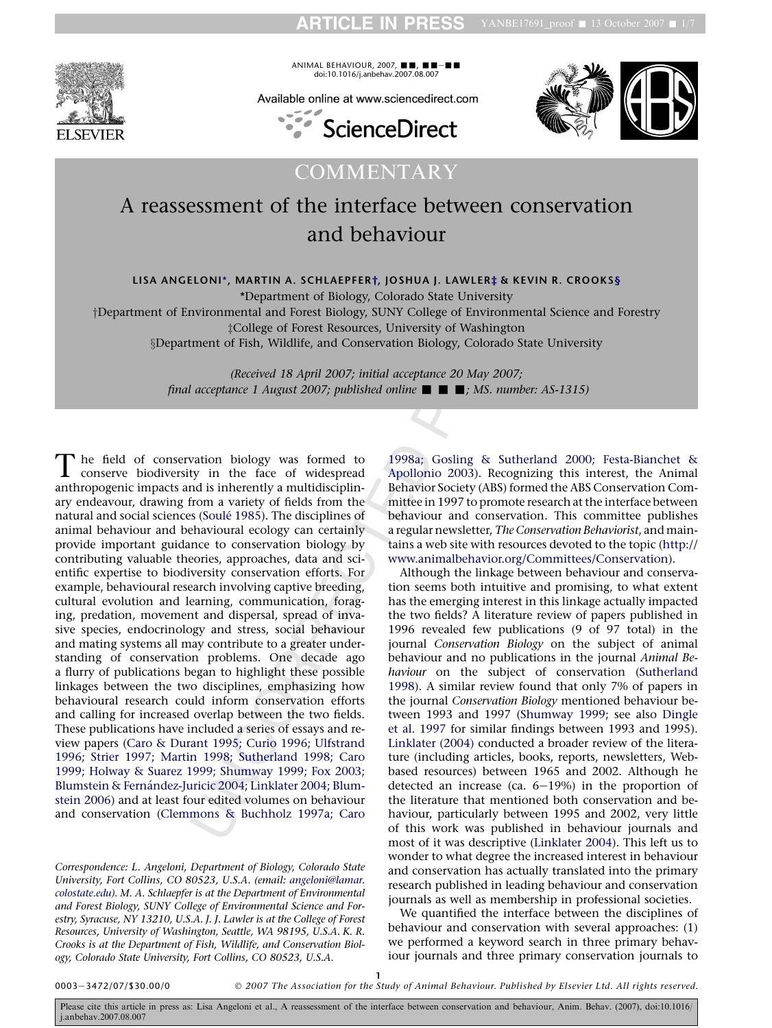ARTICLE IN PRESS YANBE17691\_proof  $\blacksquare$  13 October 2007  $\blacksquare$  1/7



 $ANIMAL$  BEHAVIOUR, 2007,  $\blacksquare$ ,  $\blacksquare$ e- doi:10.1016/j.anbehav.2007.08.007

Available online at www.sciencedirect.com





**COMMENTARY** 

# A reassessment of the interface between conservation and behaviour

LISA ANGELONI\*, MARTIN A. SCHLAEPFER†, JOSHUA J. LAWLER‡ & KEVIN R. CROOKS§

\*Department of Biology, Colorado State University

yDepartment of Environmental and Forest Biology, SUNY College of Environmental Science and Forestry ‡College of Forest Resources, University of Washington xDepartment of Fish, Wildlife, and Conservation Biology, Colorado State University

> (Received 18 April 2007; initial acceptance 20 May 2007; final acceptance 1 August 2007; published online  $\blacksquare$   $\blacksquare$ ; MS. number: AS-1315)

**ELONI\*, MARTIN A. SCHLAEPFER†, JOSHUA** J. LAWLER‡ & KEV<br>
\*Department of Biology, Colorado State University<br>
\*Department of Biology, SUNY College of Environment<br>
scollege of Forest Resources, University of Washington<br>
men The field of conservation biology was formed to conserve biodiversity in the face of widespread anthropogenic impacts and is inherently a multidisciplinary endeavour, drawing from a variety of fields from the natural and social sciences (Soulé 1985). The disciplines of animal behaviour and behavioural ecology can certainly provide important guidance to conservation biology by contributing valuable theories, approaches, data and scientific expertise to biodiversity conservation efforts. For example, behavioural research involving captive breeding, cultural evolution and learning, communication, foraging, predation, movement and dispersal, spread of invasive species, endocrinology and stress, social behaviour and mating systems all may contribute to a greater understanding of conservation problems. One decade ago a flurry of publications began to highlight these possible linkages between the two disciplines, emphasizing how behavioural research could inform conservation efforts and calling for increased overlap between the two fields. These publications have included a series of essays and review papers ([Caro & Durant 1995; Curio 1996; Ulfstrand](#page-6-0) [1996; Strier 1997; Martin 1998; Sutherland 1998; Caro](#page-6-0) [1999; Holway & Suarez 1999; Shumway 1999; Fox 2003;](#page-6-0) Blumstein & Fernández-Juricic 2004; Linklater 2004; Blum[stein 2006\)](#page-6-0) and at least four edited volumes on behaviour and conservation ([Clemmons & Buchholz 1997a; Caro](#page-6-0)

Correspondence: L. Angeloni, Department of Biology, Colorado State University, Fort Collins, CO 80523, U.S.A. (email: [angeloni@lamar.](mailto:angeloni@lamar.colostate.edu) [colostate.edu](mailto:angeloni@lamar.colostate.edu)). M. A. Schlaepfer is at the Department of Environmental and Forest Biology, SUNY College of Environmental Science and Forestry, Syracuse, NY 13210, U.S.A. J. J. Lawler is at the College of Forest Resources, University of Washington, Seattle, WA 98195, U.S.A. K. R. Crooks is at the Department of Fish, Wildlife, and Conservation Biology, Colorado State University, Fort Collins, CO 80523, U.S.A.

[1998a; Gosling & Sutherland 2000; Festa-Bianchet &](#page-6-0) [Apollonio 2003](#page-6-0)). Recognizing this interest, the Animal Behavior Society (ABS) formed the ABS Conservation Committee in 1997 to promote research at the interface between behaviour and conservation. This committee publishes a regular newsletter, The Conservation Behaviorist, and maintains a web site with resources devoted to the topic [\(http://](http://www.animalbehavior.org/Committees/Conservation) [www.animalbehavior.org/Committees/Conservation\)](http://www.animalbehavior.org/Committees/Conservation).

Although the linkage between behaviour and conservation seems both intuitive and promising, to what extent has the emerging interest in this linkage actually impacted the two fields? A literature review of papers published in 1996 revealed few publications (9 of 97 total) in the journal Conservation Biology on the subject of animal behaviour and no publications in the journal Animal Behaviour on the subject of conservation [\(Sutherland](#page-6-0) 1998). A similar review found that only 7% of papers in the journal Conservation Biology mentioned behaviour between 1993 and 1997 ([Shumway 1999](#page-6-0); see also [Dingle](#page-6-0) [et al. 1997](#page-6-0) for similar findings between 1993 and 1995). [Linklater \(2004\)](#page-6-0) conducted a broader review of the literature (including articles, books, reports, newsletters, Webbased resources) between 1965 and 2002. Although he detected an increase (ca. 6 e19%) in the proportion of the literature that mentioned both conservation and behaviour, particularly between 1995 and 2002, very little of this work was published in behaviour journals and most of it was descriptive [\(Linklater 2004](#page-6-0)). This left us to wonder to what degree the increased interest in behaviour and conservation has actually translated into the primary research published in leading behaviour and conservation journals as well as membership in professional societies.

We quantified the interface between the disciplines of behaviour and conservation with several approaches: (1) we performed a keyword search in three primary behaviour journals and three primary conservation journals to

0003 e3472/07/\$30.00/0

1 - 2007 The Association for the Study of Animal Behaviour. Published by Elsevier Ltd. All rights reserved.

Please cite this article in press as: Lisa Angeloni et al., A reassessment of the interface between conservation and behaviour, Anim. Behav. (2007), doi:10.1016/ j.anbehav.2007.08.007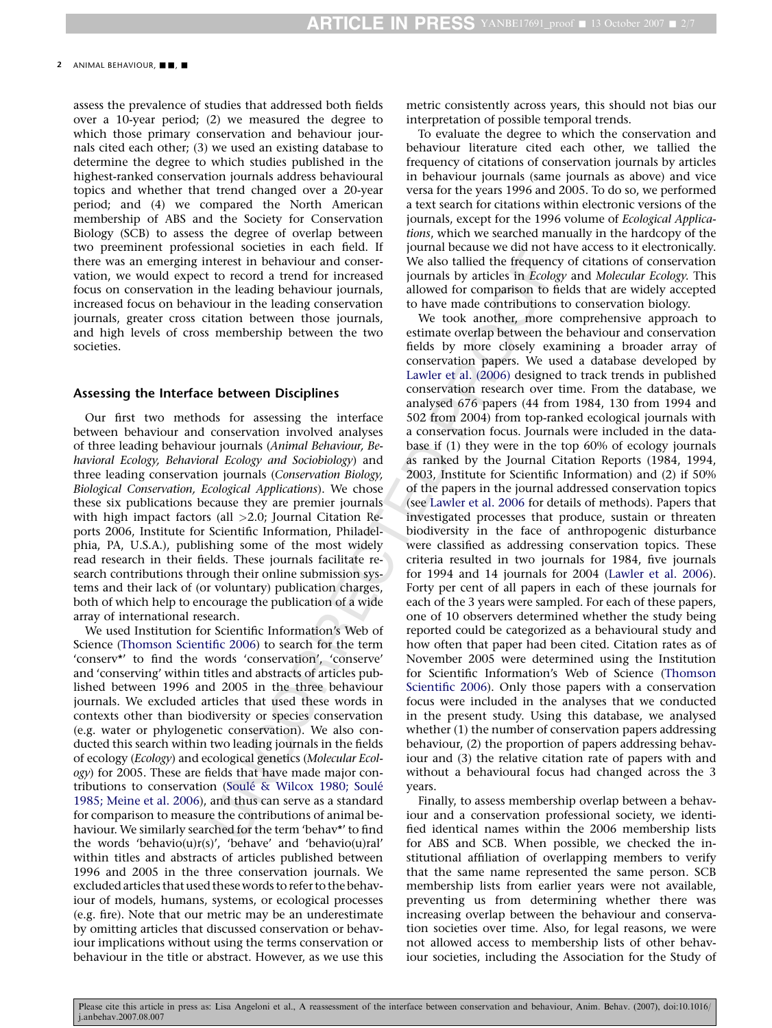#### 2 ANIMAL BEHAVIOUR,  $\blacksquare$ ,  $\blacksquare$

assess the prevalence of studies that addressed both fields over a 10-year period; (2) we measured the degree to which those primary conservation and behaviour journals cited each other; (3) we used an existing database to determine the degree to which studies published in the highest-ranked conservation journals address behavioural topics and whether that trend changed over a 20-year period; and (4) we compared the North American membership of ABS and the Society for Conservation Biology (SCB) to assess the degree of overlap between two preeminent professional societies in each field. If there was an emerging interest in behaviour and conservation, we would expect to record a trend for increased focus on conservation in the leading behaviour journals, increased focus on behaviour in the leading conservation journals, greater cross citation between those journals, and high levels of cross membership between the two societies.

### Assessing the Interface between Disciplines

Our first two methods for assessing the interface between behaviour and conservation involved analyses of three leading behaviour journals (Animal Behaviour, Behavioral Ecology, Behavioral Ecology and Sociobiology) and three leading conservation journals (Conservation Biology, Biological Conservation, Ecological Applications). We chose these six publications because they are premier journals with high impact factors (all >2.0; Journal Citation Reports 2006, Institute for Scientific Information, Philadelphia, PA, U.S.A.), publishing some of the most widely read research in their fields. These journals facilitate research contributions through their online submission systems and their lack of (or voluntary) publication charges, both of which help to encourage the publication of a wide array of international research.

We used Institution for Scientific Information's Web of Science [\(Thomson Scientific 2006\)](#page-6-0) to search for the term 'conserv\*' to find the words 'conservation', 'conserve' and 'conserving' within titles and abstracts of articles published between 1996 and 2005 in the three behaviour journals. We excluded articles that used these words in contexts other than biodiversity or species conservation (e.g. water or phylogenetic conservation). We also conducted this search within two leading journals in the fields of ecology (Ecology) and ecological genetics (Molecular Ecology) for 2005. These are fields that have made major contributions to conservation (Soulé & Wilcox 1980; Soulé [1985; Meine et al. 2006](#page-6-0)), and thus can serve as a standard for comparison to measure the contributions of animal behaviour. We similarly searched for the term 'behav\*' to find the words 'behavio(u)r(s)', 'behave' and 'behavio(u)ral' within titles and abstracts of articles published between 1996 and 2005 in the three conservation journals. We excluded articles that used these words to refer to the behaviour of models, humans, systems, or ecological processes (e.g. fire). Note that our metric may be an underestimate by omitting articles that discussed conservation or behaviour implications without using the terms conservation or behaviour in the title or abstract. However, as we use this

metric consistently across years, this should not bias our interpretation of possible temporal trends.

To evaluate the degree to which the conservation and behaviour literature cited each other, we tallied the frequency of citations of conservation journals by articles in behaviour journals (same journals as above) and vice versa for the years 1996 and 2005. To do so, we performed a text search for citations within electronic versions of the journals, except for the 1996 volume of Ecological Applications, which we searched manually in the hardcopy of the journal because we did not have access to it electronically. We also tallied the frequency of citations of conservation journals by articles in Ecology and Molecular Ecology. This allowed for comparison to fields that are widely accepted to have made contributions to conservation biology.

Solution society of the reaction of the reaction of the reaction of the reaction of the leading behaviour and conser-<br>
We also tailled the frequence these the leading one are the constant by articles in *Eologo* in the le We took another, more comprehensive approach to estimate overlap between the behaviour and conservation fields by more closely examining a broader array of conservation papers. We used a database developed by [Lawler et al. \(2006\)](#page-6-0) designed to track trends in published conservation research over time. From the database, we analysed 676 papers (44 from 1984, 130 from 1994 and 502 from 2004) from top-ranked ecological journals with a conservation focus. Journals were included in the database if (1) they were in the top 60% of ecology journals as ranked by the Journal Citation Reports (1984, 1994, 2003, Institute for Scientific Information) and (2) if 50% of the papers in the journal addressed conservation topics (see [Lawler et al. 2006](#page-6-0) for details of methods). Papers that investigated processes that produce, sustain or threaten biodiversity in the face of anthropogenic disturbance were classified as addressing conservation topics. These criteria resulted in two journals for 1984, five journals for 1994 and 14 journals for 2004 ([Lawler et al. 2006](#page-6-0)). Forty per cent of all papers in each of these journals for each of the 3 years were sampled. For each of these papers, one of 10 observers determined whether the study being reported could be categorized as a behavioural study and how often that paper had been cited. Citation rates as of November 2005 were determined using the Institution for Scientific Information's Web of Science [\(Thomson](#page-6-0) [Scientific 2006\)](#page-6-0). Only those papers with a conservation focus were included in the analyses that we conducted in the present study. Using this database, we analysed whether (1) the number of conservation papers addressing behaviour, (2) the proportion of papers addressing behaviour and (3) the relative citation rate of papers with and without a behavioural focus had changed across the 3 years.

Finally, to assess membership overlap between a behaviour and a conservation professional society, we identified identical names within the 2006 membership lists for ABS and SCB. When possible, we checked the institutional affiliation of overlapping members to verify that the same name represented the same person. SCB membership lists from earlier years were not available, preventing us from determining whether there was increasing overlap between the behaviour and conservation societies over time. Also, for legal reasons, we were not allowed access to membership lists of other behaviour societies, including the Association for the Study of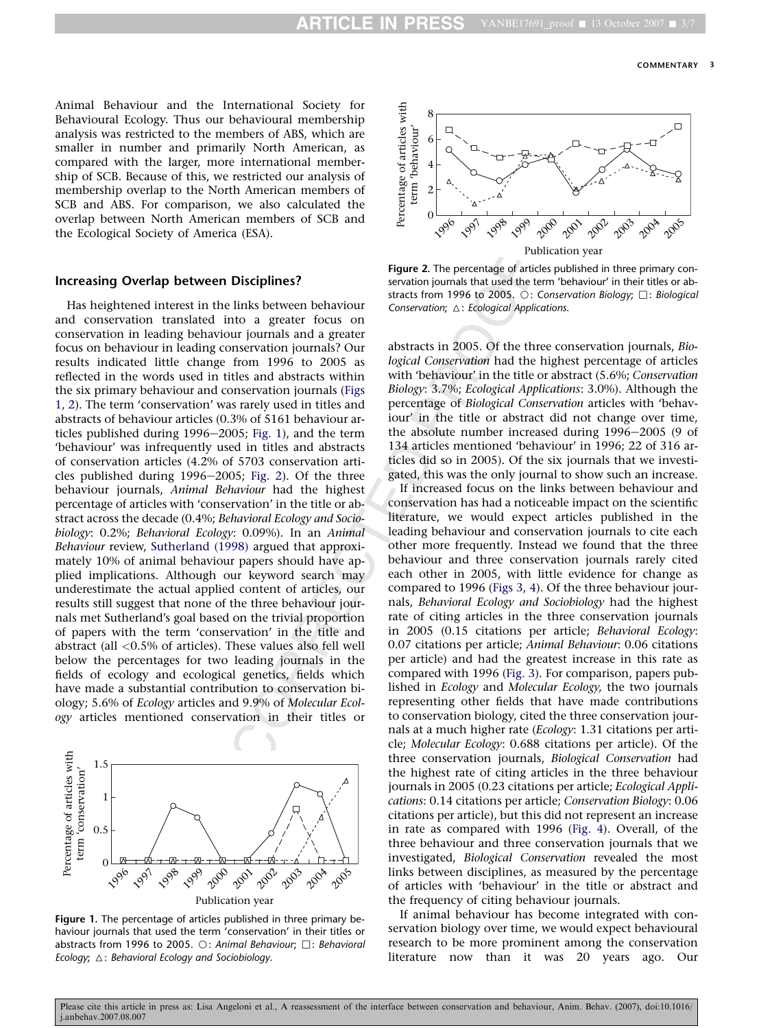Animal Behaviour and the International Society for Behavioural Ecology. Thus our behavioural membership analysis was restricted to the members of ABS, which are smaller in number and primarily North American, as compared with the larger, more international membership of SCB. Because of this, we restricted our analysis of membership overlap to the North American members of SCB and ABS. For comparison, we also calculated the overlap between North American members of SCB and the Ecological Society of America (ESA).

### Increasing Overlap between Disciplines?

Example the internation of the the secture of the time scattering of the time in the links between behaviour strats from 1996 to 2005,  $\alpha$ : the links between behaviour internation of the distance of the conservation in t Has heightened interest in the links between behaviour and conservation translated into a greater focus on conservation in leading behaviour journals and a greater focus on behaviour in leading conservation journals? Our results indicated little change from 1996 to 2005 as reflected in the words used in titles and abstracts within the six primary behaviour and conservation journals (Figs 1, 2). The term 'conservation' was rarely used in titles and abstracts of behaviour articles (0.3% of 5161 behaviour articles published during  $1996-2005$ ; Fig. 1), and the term 'behaviour' was infrequently used in titles and abstracts of conservation articles (4.2% of 5703 conservation articles published during  $1996-2005$ ; Fig. 2). Of the three behaviour journals, Animal Behaviour had the highest percentage of articles with 'conservation' in the title or abstract across the decade (0.4%; Behavioral Ecology and Sociobiology: 0.2%; Behavioral Ecology: 0.09%). In an Animal Behaviour review, [Sutherland \(1998\)](#page-6-0) argued that approximately 10% of animal behaviour papers should have applied implications. Although our keyword search may underestimate the actual applied content of articles, our results still suggest that none of the three behaviour journals met Sutherland's goal based on the trivial proportion of papers with the term 'conservation' in the title and abstract (all <0.5% of articles). These values also fell well below the percentages for two leading journals in the fields of ecology and ecological genetics, fields which have made a substantial contribution to conservation biology; 5.6% of Ecology articles and 9.9% of Molecular Ecology articles mentioned conservation in their titles or



Figure 1. The percentage of articles published in three primary behaviour journals that used the term 'conservation' in their titles or abstracts from 1996 to 2005.  $\bigcirc$ : Animal Behaviour;  $\Box$ : Behavioral Ecology;  $\triangle$ : Behavioral Ecology and Sociobiology.



Figure 2. The percentage of articles published in three primary conservation journals that used the term 'behaviour' in their titles or abstracts from 1996 to 2005.  $\bigcirc$ : Conservation Biology:  $\bigcap$ : Biological Conservation;  $\triangle$ : Ecological Applications.

abstracts in 2005. Of the three conservation journals, Biological Conservation had the highest percentage of articles with 'behaviour' in the title or abstract (5.6%; Conservation Biology: 3.7%; Ecological Applications: 3.0%). Although the percentage of Biological Conservation articles with 'behaviour' in the title or abstract did not change over time, the absolute number increased during 1996–2005 (9 of 134 articles mentioned 'behaviour' in 1996; 22 of 316 articles did so in 2005). Of the six journals that we investigated, this was the only journal to show such an increase.

If increased focus on the links between behaviour and conservation has had a noticeable impact on the scientific literature, we would expect articles published in the leading behaviour and conservation journals to cite each other more frequently. Instead we found that the three behaviour and three conservation journals rarely cited each other in 2005, with little evidence for change as compared to 1996 [\(Figs 3, 4\)](#page-3-0). Of the three behaviour journals, Behavioral Ecology and Sociobiology had the highest rate of citing articles in the three conservation journals in 2005 (0.15 citations per article; Behavioral Ecology: 0.07 citations per article; Animal Behaviour: 0.06 citations per article) and had the greatest increase in this rate as compared with 1996 ([Fig. 3\)](#page-3-0). For comparison, papers published in Ecology and Molecular Ecology, the two journals representing other fields that have made contributions to conservation biology, cited the three conservation journals at a much higher rate (Ecology: 1.31 citations per article; Molecular Ecology: 0.688 citations per article). Of the three conservation journals, Biological Conservation had the highest rate of citing articles in the three behaviour journals in 2005 (0.23 citations per article; Ecological Applications: 0.14 citations per article; Conservation Biology: 0.06 citations per article), but this did not represent an increase in rate as compared with 1996 ([Fig. 4\)](#page-3-0). Overall, of the three behaviour and three conservation journals that we investigated, Biological Conservation revealed the most links between disciplines, as measured by the percentage of articles with 'behaviour' in the title or abstract and the frequency of citing behaviour journals.

If animal behaviour has become integrated with conservation biology over time, we would expect behavioural research to be more prominent among the conservation literature now than it was 20 years ago. Our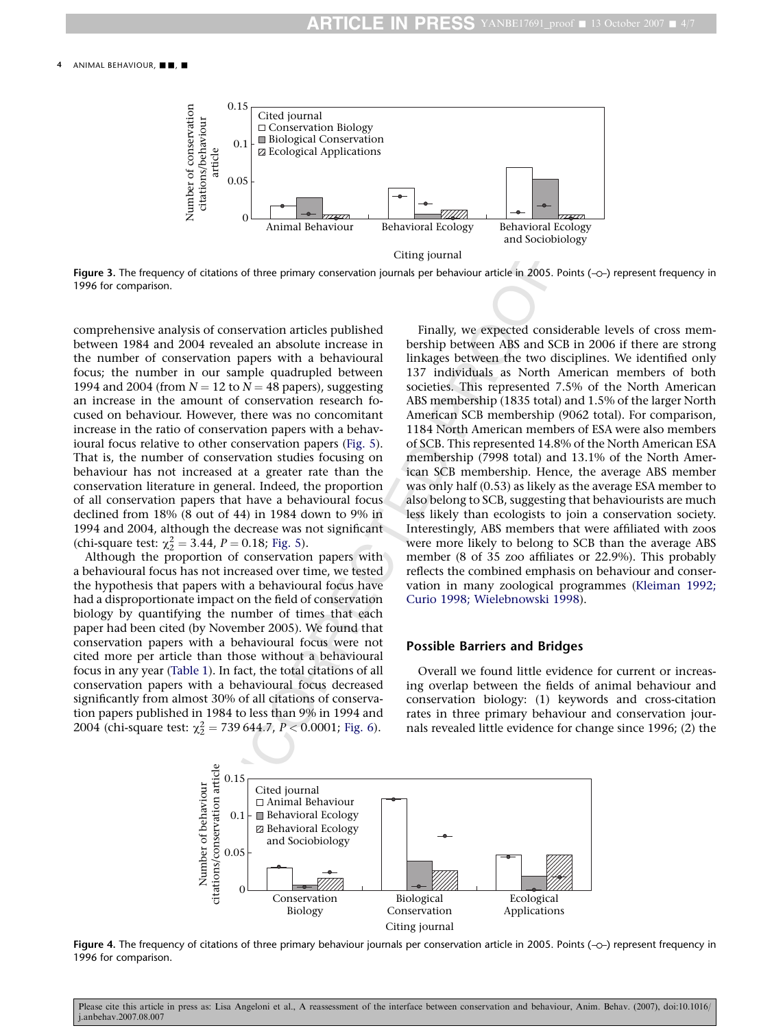<span id="page-3-0"></span>

Figure 3. The frequency of citations of three primary conservation journals per behaviour article in 2005. Points  $(-\circ)$  represent frequency in 1996 for comparison.

comprehensive analysis of conservation articles published between 1984 and 2004 revealed an absolute increase in the number of conservation papers with a behavioural focus; the number in our sample quadrupled between 1994 and 2004 (from  $N = 12$  to  $N = 48$  papers), suggesting an increase in the amount of conservation research focused on behaviour. However, there was no concomitant increase in the ratio of conservation papers with a behavioural focus relative to other conservation papers [\(Fig. 5](#page-4-0)). That is, the number of conservation studies focusing on behaviour has not increased at a greater rate than the conservation literature in general. Indeed, the proportion of all conservation papers that have a behavioural focus declined from 18% (8 out of 44) in 1984 down to 9% in 1994 and 2004, although the decrease was not significant (chi-square test:  $\chi^2 = 3.44$ ,  $P = 0.18$ ; Fig. 5).

Although the proportion of conservation papers with a behavioural focus has not increased over time, we tested the hypothesis that papers with a behavioural focus have had a disproportionate impact on the field of conservation biology by quantifying the number of times that each paper had been cited (by November 2005). We found that conservation papers with a behavioural focus were not cited more per article than those without a behavioural focus in any year ([Table 1\)](#page-4-0). In fact, the total citations of all conservation papers with a behavioural focus decreased significantly from almost 30% of all citations of conservation papers published in 1984 to less than 9% in 1994 and 2004 (chi-square test:  $\chi_2^2 = 739644.7$ ,  $P < 0.0001$ ; Fig. 6).

Citing journal<br>
string journal<br>
stations of the primary conservation journals per behaviour article in 2005.<br>
of conservation articles published Finally, we expected conserved an absolute increase in bership between ABS a Finally, we expected considerable levels of cross membership between ABS and SCB in 2006 if there are strong linkages between the two disciplines. We identified only 137 individuals as North American members of both societies. This represented 7.5% of the North American ABS membership (1835 total) and 1.5% of the larger North American SCB membership (9062 total). For comparison, 1184 North American members of ESA were also members of SCB. This represented 14.8% of the North American ESA membership (7998 total) and 13.1% of the North American SCB membership. Hence, the average ABS member was only half (0.53) as likely as the average ESA member to also belong to SCB, suggesting that behaviourists are much less likely than ecologists to join a conservation society. Interestingly, ABS members that were affiliated with zoos were more likely to belong to SCB than the average ABS member (8 of 35 zoo affiliates or 22.9%). This probably reflects the combined emphasis on behaviour and conservation in many zoological programmes ([Kleiman 1992;](#page-6-0) [Curio 1998; Wielebnowski 1998](#page-6-0)).

## Possible Barriers and Bridges

Overall we found little evidence for current or increasing overlap between the fields of animal behaviour and conservation biology: (1) keywords and cross-citation rates in three primary behaviour and conservation journals revealed little evidence for change since 1996; (2) the



Figure 4. The frequency of citations of three primary behaviour journals per conservation article in 2005. Points  $(-c)$  represent frequency in 1996 for comparison.

Please cite this article in press as: Lisa Angeloni et al., A reassessment of the interface between conservation and behaviour, Anim. Behav. (2007), doi:10.1016 j.anbehav.2007.08.007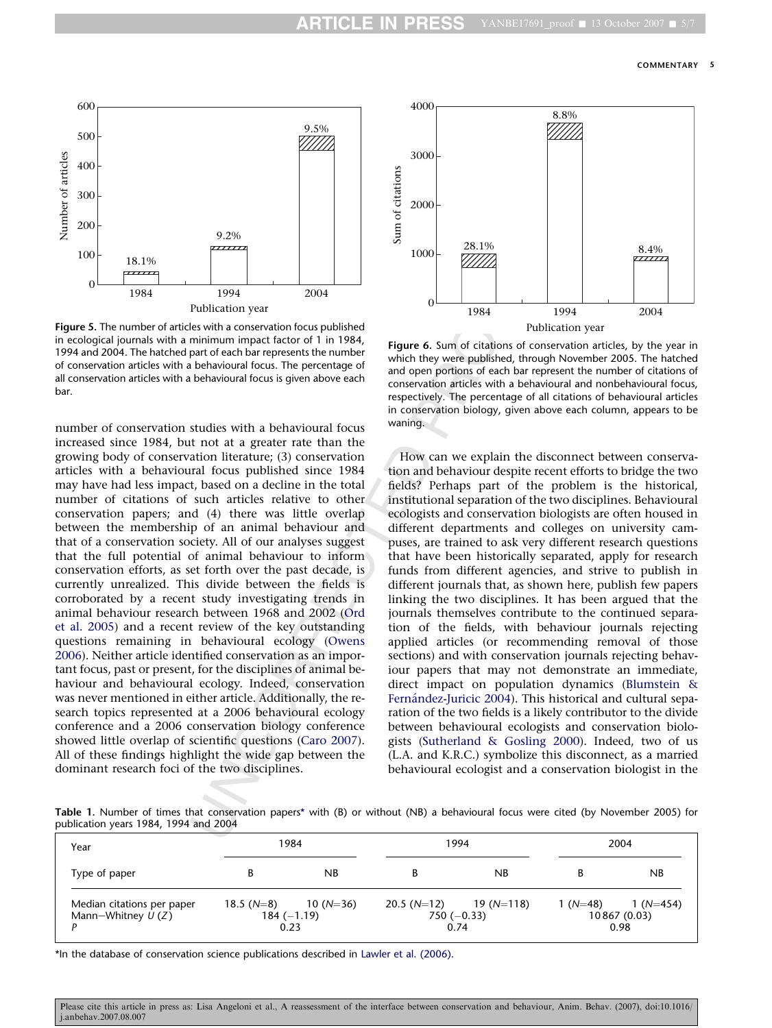<span id="page-4-0"></span>![](_page_4_Figure_2.jpeg)

Figure 5. The number of articles with a conservation focus published in ecological journals with a minimum impact factor of 1 in 1984, 1994 and 2004. The hatched part of each bar represents the number of conservation articles with a behavioural focus. The percentage of all conservation articles with a behavioural focus is given above each bar.

It not at a greater rate than the<br>
artion literature; (3) conservation<br>
trail focus published since 1984<br>
the ratio and decline in the total<br>
delas? F<br>
such articles relative to other<br>
institution<br>
delas. The was little ov number of conservation studies with a behavioural focus increased since 1984, but not at a greater rate than the growing body of conservation literature; (3) conservation articles with a behavioural focus published since 1984 may have had less impact, based on a decline in the total number of citations of such articles relative to other conservation papers; and (4) there was little overlap between the membership of an animal behaviour and that of a conservation society. All of our analyses suggest that the full potential of animal behaviour to inform conservation efforts, as set forth over the past decade, is currently unrealized. This divide between the fields is corroborated by a recent study investigating trends in animal behaviour research between 1968 and 2002 (Ord [et al. 2005](#page-6-0)) and a recent review of the key outstanding questions remaining in behavioural ecology (Owens [2006](#page-6-0)). Neither article identified conservation as an important focus, past or present, for the disciplines of animal behaviour and behavioural ecology. Indeed, conservation was never mentioned in either article. Additionally, the research topics represented at a 2006 behavioural ecology conference and a 2006 conservation biology conference showed little overlap of scientific questions (Caro 2007). All of these findings highlight the wide gap between the dominant research foci of the two disciplines.

![](_page_4_Figure_5.jpeg)

Figure 6. Sum of citations of conservation articles, by the year in which they were published, through November 2005. The hatched and open portions of each bar represent the number of citations of conservation articles with a behavioural and nonbehavioural focus, respectively. The percentage of all citations of behavioural articles in conservation biology, given above each column, appears to be waning.

How can we explain the disconnect between conservation and behaviour despite recent efforts to bridge the two fields? Perhaps part of the problem is the historical, institutional separation of the two disciplines. Behavioural ecologists and conservation biologists are often housed in different departments and colleges on university campuses, are trained to ask very different research questions that have been historically separated, apply for research funds from different agencies, and strive to publish in different journals that, as shown here, publish few papers linking the two disciplines. It has been argued that the journals themselves contribute to the continued separation of the fields, with behaviour journals rejecting applied articles (or recommending removal of those sections) and with conservation journals rejecting behaviour papers that may not demonstrate an immediate, direct impact on population dynamics [\(Blumstein &](#page-5-0) Fernández-Juricic 2004). This historical and cultural separation of the two fields is a likely contributor to the divide between behavioural ecologists and conservation biologists [\(Sutherland & Gosling 2000](#page-6-0)). Indeed, two of us (L.A. and K.R.C.) symbolize this disconnect, as a married behavioural ecologist and a conservation biologist in the

Table 1. Number of times that conservation papers \* with (B) or without (NB) a behavioural focus were cited (by November 2005) for publication years 1984, 1994 and 2004

| Year                                              | 1984                                 |            | 1994                                              |    | 2004      |                                    |
|---------------------------------------------------|--------------------------------------|------------|---------------------------------------------------|----|-----------|------------------------------------|
| Type of paper                                     | В                                    | NB         | B                                                 | NB |           | NB                                 |
| Median citations per paper<br>Mann-Whitney $U(Z)$ | $18.5(N=8)$<br>$184 (-1.19)$<br>0.23 | $10(N=36)$ | $20.5 (N=12)$ 19 (N=118)<br>$750 (-0.33)$<br>0.74 |    | $1(N=48)$ | $1(N=454)$<br>10867 (0.03)<br>0.98 |

\*In the database of conservation science publications described in [Lawler et al. \(2006\)](#page-6-0) .

Please cite this article in press as: Lisa Angeloni et al., A reassessment of the interface between conservation and behaviour, Anim. Behav. (2007), doi:10.1016/ j.anbehav.2007.08.007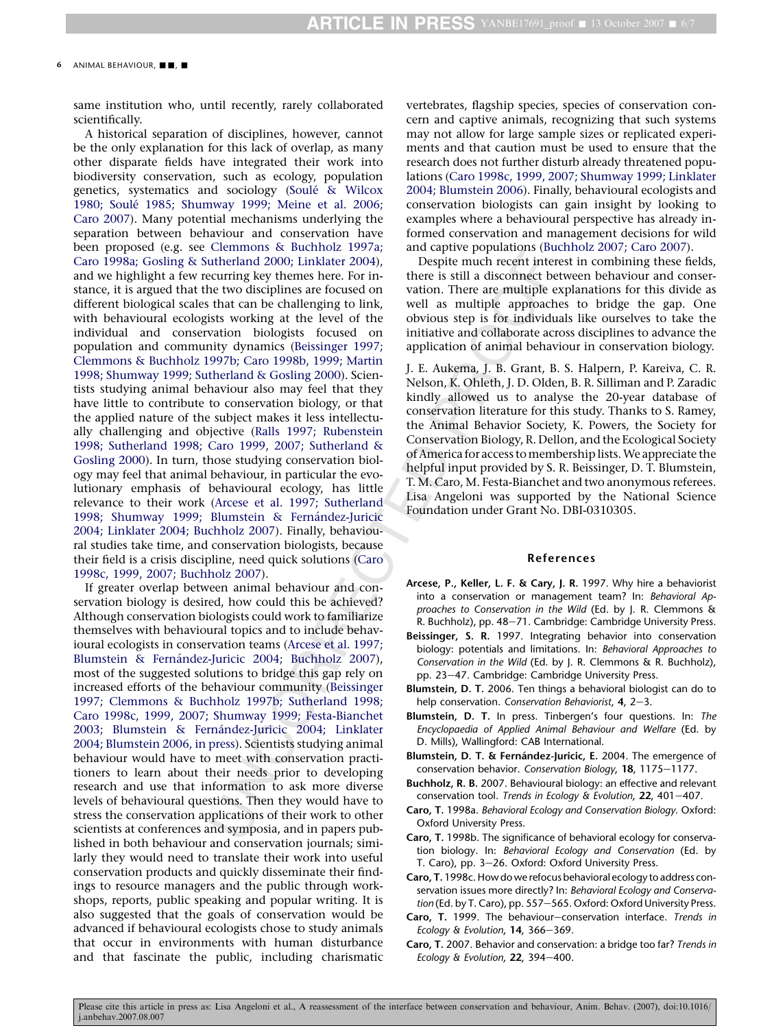<span id="page-5-0"></span>same institution who, until recently, rarely collaborated scientifically.

Strumman's container and particular conservation and particular enterpotations (between the term in the conservation and disconnect be that an be challenging to link well as multiple approach be that an be challenging to A historical separation of disciplines, however, cannot be the only explanation for this lack of overlap, as many other disparate fields have integrated their work into biodiversity conservation, such as ecology, population genetics, systematics and sociology (Soule´ [& Wilcox](#page-6-0) 1980; Soulé [1985; Shumway 1999; Meine et al. 2006;](#page-6-0) [Caro 2007](#page-6-0)). Many potential mechanisms underlying the separation between behaviour and conservation have been proposed (e.g. see [Clemmons & Buchholz 1997a;](#page-6-0) [Caro 1998a; Gosling & Sutherland 2000; Linklater 2004](#page-6-0)), and we highlight a few recurring key themes here. For instance, it is argued that the two disciplines are focused on different biological scales that can be challenging to link, with behavioural ecologists working at the level of the individual and conservation biologists focused on population and community dynamics (Beissinger 1997; Clemmons & Buchholz 1997b; Caro 1998b, 1999; Martin 1998; Shumway 1999; Sutherland & Gosling 2000). Scientists studying animal behaviour also may feel that they have little to contribute to conservation biology, or that the applied nature of the subject makes it less intellectually challenging and objective ([Ralls 1997; Rubenstein](#page-6-0) [1998; Sutherland 1998; Caro 1999, 2007; Sutherland &](#page-6-0) [Gosling 2000](#page-6-0)). In turn, those studying conservation biology may feel that animal behaviour, in particular the evolutionary emphasis of behavioural ecology, has little relevance to their work (Arcese et al. 1997; Sutherland 1998; Shumway 1999; Blumstein & Fernández-Juricic 2004; Linklater 2004; Buchholz 2007). Finally, behavioural studies take time, and conservation biologists, because their field is a crisis discipline, need quick solutions (Caro 1998c, 1999, 2007; Buchholz 2007).

If greater overlap between animal behaviour and conservation biology is desired, how could this be achieved? Although conservation biologists could work to familiarize themselves with behavioural topics and to include behavioural ecologists in conservation teams (Arcese et al. 1997; Blumstein & Fernández-Juricic 2004; Buchholz 2007), most of the suggested solutions to bridge this gap rely on increased efforts of the behaviour community (Beissinger 1997; Clemmons & Buchholz 1997b; Sutherland 1998; Caro 1998c, 1999, 2007; Shumway 1999; Festa-Bianchet 2003; Blumstein & Fernández-Juricic 2004; Linklater 2004; Blumstein 2006, in press). Scientists studying animal behaviour would have to meet with conservation practitioners to learn about their needs prior to developing research and use that information to ask more diverse levels of behavioural questions. Then they would have to stress the conservation applications of their work to other scientists at conferences and symposia, and in papers published in both behaviour and conservation journals; similarly they would need to translate their work into useful conservation products and quickly disseminate their findings to resource managers and the public through workshops, reports, public speaking and popular writing. It is also suggested that the goals of conservation would be advanced if behavioural ecologists chose to study animals that occur in environments with human disturbance and that fascinate the public, including charismatic vertebrates, flagship species, species of conservation concern and captive animals, recognizing that such systems may not allow for large sample sizes or replicated experiments and that caution must be used to ensure that the research does not further disturb already threatened populations (Caro 1998c, 1999, 2007; Shumway 1999; Linklater 2004; Blumstein 2006). Finally, behavioural ecologists and conservation biologists can gain insight by looking to examples where a behavioural perspective has already informed conservation and management decisions for wild and captive populations (Buchholz 2007; Caro 2007).

Despite much recent interest in combining these fields, there is still a disconnect between behaviour and conservation. There are multiple explanations for this divide as well as multiple approaches to bridge the gap. One obvious step is for individuals like ourselves to take the initiative and collaborate across disciplines to advance the application of animal behaviour in conservation biology.

J. E. Aukema, J. B. Grant, B. S. Halpern, P. Kareiva, C. R. Nelson, K. Ohleth, J. D. Olden, B. R. Silliman and P. Zaradic kindly allowed us to analyse the 20-year database of conservation literature for this study. Thanks to S. Ramey, the Animal Behavior Society, K. Powers, the Society for Conservation Biology, R. Dellon, and the Ecological Society of America for access to membership lists.We appreciate the helpful input provided by S. R. Beissinger, D. T. Blumstein, T. M. Caro, M. Festa-Bianchet and two anonymous referees. Lisa Angeloni was supported by the National Science Foundation under Grant No. DBI-0310305.

#### References

- Arcese, P., Keller, L. F. & Cary, J. R. 1997. Why hire a behaviorist into a conservation or management team? In: Behavioral Approaches to Conservation in the Wild (Ed. by J. R. Clemmons & R. Buchholz), pp. 48–71. Cambridge: Cambridge University Press.
- Beissinger, S. R. 1997. Integrating behavior into conservation biology: potentials and limitations. In: Behavioral Approaches to Conservation in the Wild (Ed. by J. R. Clemmons & R. Buchholz), pp. 23–47. Cambridge: Cambridge University Press.
- Blumstein, D. T. 2006. Ten things a behavioral biologist can do to help conservation. Conservation Behaviorist,  $4$ ,  $2-3$ .
- Blumstein, D. T. In press. Tinbergen's four questions. In: The Encyclopaedia of Applied Animal Behaviour and Welfare (Ed. by D. Mills), Wallingford: CAB International.
- Blumstein, D. T. & Fernández-Juricic, E. 2004. The emergence of conservation behavior. Conservation Biology, 18, 1175-1177.
- Buchholz, R. B. 2007. Behavioural biology: an effective and relevant conservation tool. Trends in Ecology & Evolution,  $22$ ,  $401-407$ .
- Caro, T. 1998a. Behavioral Ecology and Conservation Biology. Oxford: Oxford University Press.
- Caro, T. 1998b. The significance of behavioral ecology for conservation biology. In: Behavioral Ecology and Conservation (Ed. by T. Caro), pp. 3–26. Oxford: Oxford University Press.
- Caro, T. 1998c. How do we refocus behavioral ecology to address conservation issues more directly? In: Behavioral Ecology and Conservation (Ed. by T. Caro), pp. 557-565. Oxford: Oxford University Press.
- **Caro, T.** 1999. The behaviour–conservation interface. Trends in Ecology & Evolution,  $14$ ,  $366 - 369$ .
- Caro, T. 2007. Behavior and conservation: a bridge too far? Trends in Ecology & Evolution,  $22$ ,  $394-400$ .